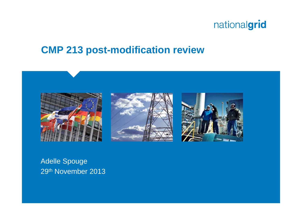### **CMP 213 post-modification review**







Adelle Spouge 29th November 2013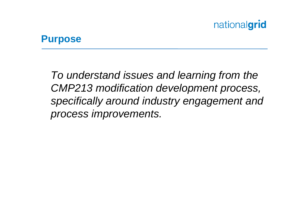#### **Purpose**

*To understand issues and learning from the CMP213 modification development process, specifically around industry engagement and process improvements.*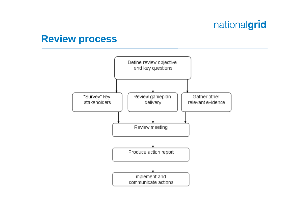#### **Review process**

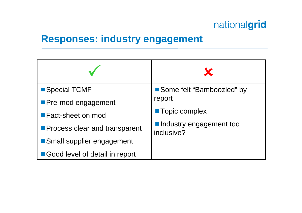### **Responses: industry engagement**

| Special TCMF                         | Some felt "Bamboozled" by             |
|--------------------------------------|---------------------------------------|
| Pre-mod engagement                   | report                                |
| ■ Fact-sheet on mod                  | <b>Topic complex</b>                  |
| <b>Process clear and transparent</b> | Industry engagement too<br>inclusive? |
| Small supplier engagement            |                                       |
| Good level of detail in report       |                                       |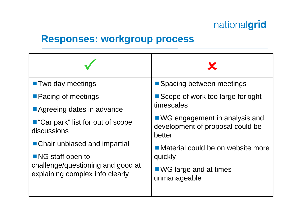### **Responses: workgroup process**

| <b>T</b> Two day meetings                                                                                                                 | ■ Spacing between meetings                                                    |
|-------------------------------------------------------------------------------------------------------------------------------------------|-------------------------------------------------------------------------------|
| <b>Pacing of meetings</b><br>Agreeing dates in advance                                                                                    | Scope of work too large for tight<br>timescales                               |
| ■ "Car park" list for out of scope<br>discussions                                                                                         | ■ WG engagement in analysis and<br>development of proposal could be<br>better |
| ■ Chair unbiased and impartial<br>$\blacksquare$ NG staff open to<br>challenge/questioning and good at<br>explaining complex info clearly | Material could be on website more<br>quickly                                  |
|                                                                                                                                           | $\blacksquare$ WG large and at times<br>unmanageable                          |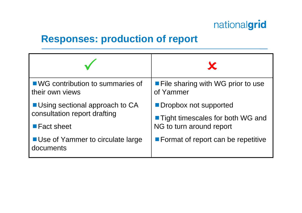#### **Responses: production of report**

| ■ WG contribution to summaries of                    | <b>File sharing with WG prior to use</b>  |
|------------------------------------------------------|-------------------------------------------|
| their own views                                      | of Yammer                                 |
| <b>Using sectional approach to CA</b>                | <b>Dropbox not supported</b>              |
| consultation report drafting                         | ■ Tight timescales for both WG and        |
| ■ Fact sheet                                         | NG to turn around report                  |
| <b>Use of Yammer to circulate large</b><br>documents | <b>Format of report can be repetitive</b> |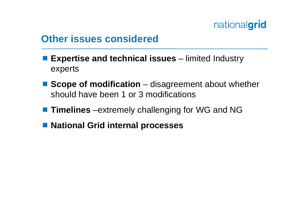### **Other issues considered**

- **Expertise and technical issues** limited Industry experts
- **Scope of modification** disagreement about whether should have been 1 or 3 modifications
- **Timelines** –extremely challenging for WG and NG
- National Grid internal processes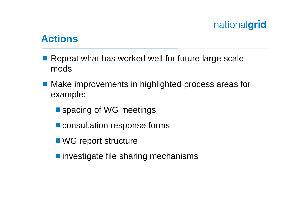#### **Actions**

- Repeat what has worked well for future large scale mods
- Make improvements in highlighted process areas for example:
	- spacing of WG meetings
	- **E** consultation response forms
	- WG report structure
	- investigate file sharing mechanisms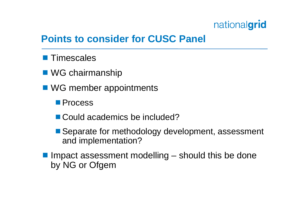### **Points to consider for CUSC Panel**

- **Timescales**
- WG chairmanship
- WG member appointments
	- Process
	- Could academics be included?
	- Separate for methodology development, assessment and implementation?
- $\blacksquare$  Impact assessment modelling  $-$  should this be done by NG or Ofgem